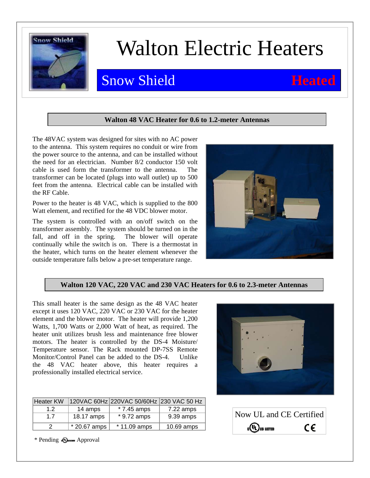

## Walton Electric Heaters

### **Snow Shield <b>Heated**

### **Walton 48 VAC Heater for 0.6 to 1.2-meter Antennas**

The 48VAC system was designed for sites with no AC power to the antenna. This system requires no conduit or wire from the power source to the antenna, and can be installed without the need for an electrician. Number 8/2 conductor 150 volt cable is used form the transformer to the antenna. The transformer can be located (plugs into wall outlet) up to 500 feet from the antenna. Electrical cable can be installed with the RF Cable.

Power to the heater is 48 VAC, which is supplied to the 800 Watt element, and rectified for the 48 VDC blower motor.

The system is controlled with an on/off switch on the transformer assembly. The system should be turned on in the fall, and off in the spring. The blower will operate continually while the switch is on. There is a thermostat in the heater, which turns on the heater element whenever the outside temperature falls below a pre-set temperature range.



### **Walton 120 VAC, 220 VAC and 230 VAC Heaters for 0.6 to 2.3-meter Antennas**

This small heater is the same design as the 48 VAC heater except it uses 120 VAC, 220 VAC or 230 VAC for the heater element and the blower motor. The heater will provide 1,200 Watts, 1,700 Watts or 2,000 Watt of heat, as required. The heater unit utilizes brush less and maintenance free blower motors. The heater is controlled by the DS-4 Moisture/ Temperature sensor. The Rack mounted DP-7SS Remote Monitor/Control Panel can be added to the DS-4. Unlike the 48 VAC heater above, this heater requires a professionally installed electrical service.

| <b>Heater KW</b> |              | 120VAC 60Hz 220VAC 50/60Hz 230 VAC 50 Hz |              |
|------------------|--------------|------------------------------------------|--------------|
| 1.2              | 14 amps      | $*7.45$ amps                             | $7.22$ amps  |
| 17               | 18.17 amps   | $*9.72$ amps                             | 9.39 amps    |
|                  | * 20.67 amps | $*$ 11.09 amps                           | $10.69$ amps |



| Now UL and CE Certified      |    |
|------------------------------|----|
| C <sup>(U</sup> L) us listed | C€ |

\* Pending Approval